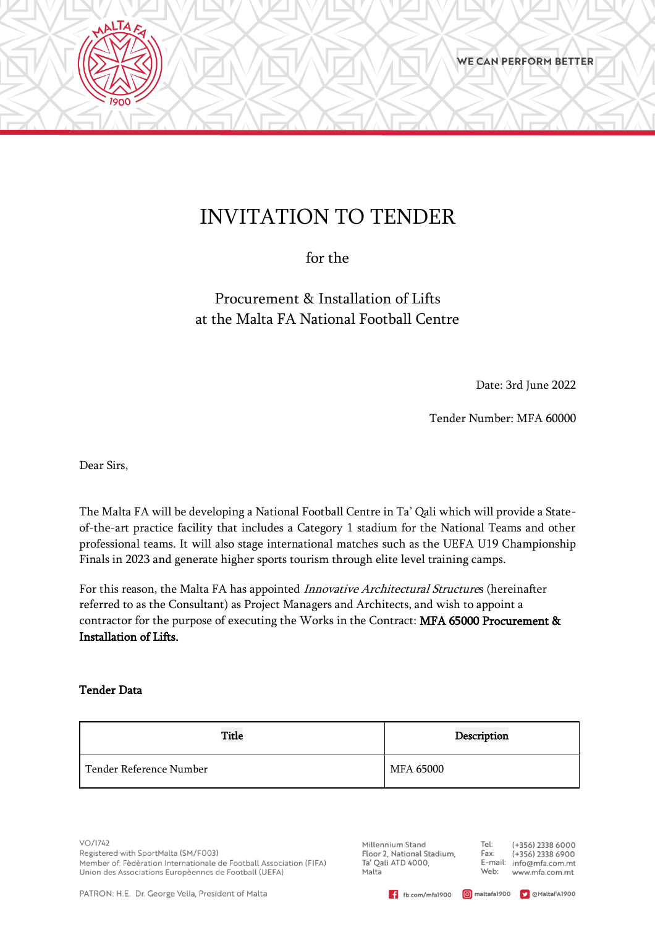# INVITATION TO TENDER

for the

Procurement & Installation of Lifts at the Malta FA National Football Centre

Date: 3rd June 2022

Tender Number: MFA 60000

Dear Sirs,

**AALTAFS** 

The Malta FA will be developing a National Football Centre in Ta' Qali which will provide a Stateof-the-art practice facility that includes a Category 1 stadium for the National Teams and other professional teams. It will also stage international matches such as the UEFA U19 Championship Finals in 2023 and generate higher sports tourism through elite level training camps.

For this reason, the Malta FA has appointed Innovative Architectural Structures (hereinafter referred to as the Consultant) as Project Managers and Architects, and wish to appoint a contractor for the purpose of executing the Works in the Contract: MFA 65000 Procurement & Installation of Lifts.

#### Tender Data

| <b>Title</b>            | Description |
|-------------------------|-------------|
| Tender Reference Number | MFA 65000   |

 $VO/1742$ Registered with SportMalta (SM/F003) Member of: Fèdèration Internationale de Football Association (FIFA) Union des Associations Europèennes de Football (UEFA)

Millennium Stand Floor 2, National Stadium, Ta' Qali ATD 4000, Malta

Tel: (+356) 2338 6000 Fax:  $(+356)$  2338 6900 E-mail: info@mfa.com.mt Web: www.mfa.com.mt